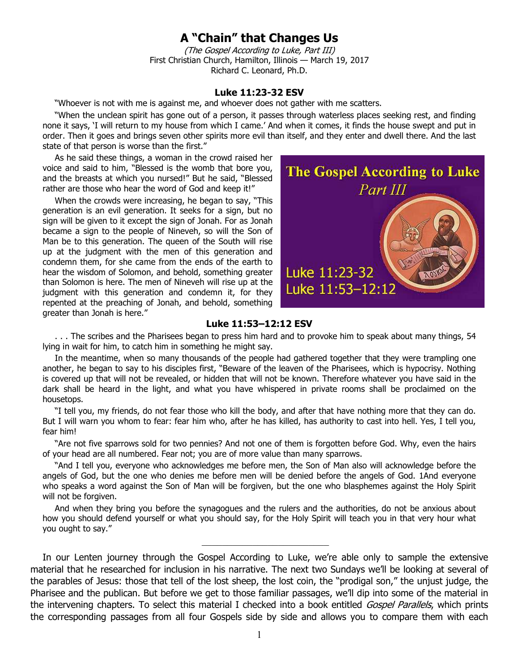## **A "Chain" that Changes Us**

(The Gospel According to Luke, Part III) First Christian Church, Hamilton, Illinois — March 19, 2017 Richard C. Leonard, Ph.D.

## **Luke 11:23-32 ESV**

"Whoever is not with me is against me, and whoever does not gather with me scatters.

"When the unclean spirit has gone out of a person, it passes through waterless places seeking rest, and finding none it says, 'I will return to my house from which I came.' And when it comes, it finds the house swept and put in order. Then it goes and brings seven other spirits more evil than itself, and they enter and dwell there. And the last state of that person is worse than the first."

As he said these things, a woman in the crowd raised her voice and said to him, "Blessed is the womb that bore you, and the breasts at which you nursed!" But he said, "Blessed rather are those who hear the word of God and keep it!"

When the crowds were increasing, he began to say, "This generation is an evil generation. It seeks for a sign, but no sign will be given to it except the sign of Jonah. For as Jonah became a sign to the people of Nineveh, so will the Son of Man be to this generation. The queen of the South will rise up at the judgment with the men of this generation and condemn them, for she came from the ends of the earth to hear the wisdom of Solomon, and behold, something greater than Solomon is here. The men of Nineveh will rise up at the judgment with this generation and condemn it, for they repented at the preaching of Jonah, and behold, something greater than Jonah is here."



## **Luke 11:53–12:12 ESV**

. . . The scribes and the Pharisees began to press him hard and to provoke him to speak about many things, 54 lying in wait for him, to catch him in something he might say.

In the meantime, when so many thousands of the people had gathered together that they were trampling one another, he began to say to his disciples first, "Beware of the leaven of the Pharisees, which is hypocrisy. Nothing is covered up that will not be revealed, or hidden that will not be known. Therefore whatever you have said in the dark shall be heard in the light, and what you have whispered in private rooms shall be proclaimed on the housetops.

"I tell you, my friends, do not fear those who kill the body, and after that have nothing more that they can do. But I will warn you whom to fear: fear him who, after he has killed, has authority to cast into hell. Yes, I tell you, fear him!

"Are not five sparrows sold for two pennies? And not one of them is forgotten before God. Why, even the hairs of your head are all numbered. Fear not; you are of more value than many sparrows.

"And I tell you, everyone who acknowledges me before men, the Son of Man also will acknowledge before the angels of God, but the one who denies me before men will be denied before the angels of God. 1And everyone who speaks a word against the Son of Man will be forgiven, but the one who blasphemes against the Holy Spirit will not be forgiven.

And when they bring you before the synagogues and the rulers and the authorities, do not be anxious about how you should defend yourself or what you should say, for the Holy Spirit will teach you in that very hour what you ought to say."

 $\overline{\phantom{a}}$  , where  $\overline{\phantom{a}}$  , where  $\overline{\phantom{a}}$  , where  $\overline{\phantom{a}}$ 

In our Lenten journey through the Gospel According to Luke, we're able only to sample the extensive material that he researched for inclusion in his narrative. The next two Sundays we'll be looking at several of the parables of Jesus: those that tell of the lost sheep, the lost coin, the "prodigal son," the unjust judge, the Pharisee and the publican. But before we get to those familiar passages, we'll dip into some of the material in the intervening chapters. To select this material I checked into a book entitled Gospel Parallels, which prints the corresponding passages from all four Gospels side by side and allows you to compare them with each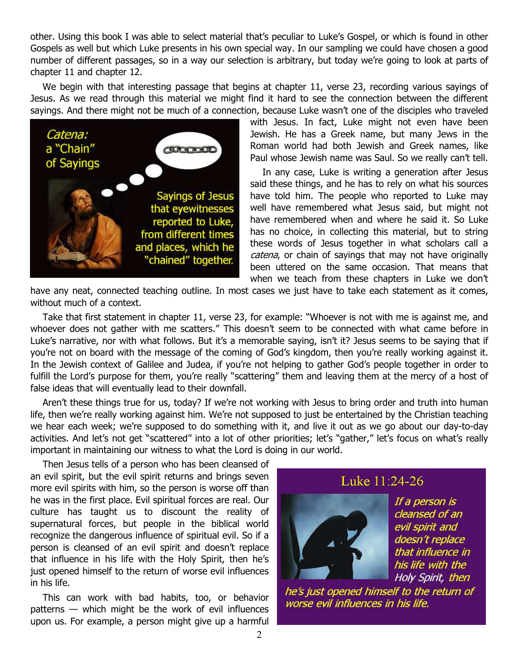other. Using this book I was able to select material that's peculiar to Luke's Gospel, or which is found in other Gospels as well but which Luke presents in his own special way. In our sampling we could have chosen a good number of different passages, so in a way our selection is arbitrary, but today we're going to look at parts of chapter 11 and chapter 12.

We begin with that interesting passage that begins at chapter 11, verse 23, recording various sayings of Jesus. As we read through this material we might find it hard to see the connection between the different sayings. And there might not be much of a connection, because Luke wasn't one of the disciples who traveled



with Jesus. In fact, Luke might not even have been Jewish. He has a Greek name, but many Jews in the Roman world had both Jewish and Greek names, like Paul whose Jewish name was Saul. So we really can't tell.

In any case, Luke is writing a generation after Jesus said these things, and he has to rely on what his sources have told him. The people who reported to Luke may well have remembered what Jesus said, but might not have remembered when and where he said it. So Luke has no choice, in collecting this material, but to string these words of Jesus together in what scholars call a catena, or chain of sayings that may not have originally been uttered on the same occasion. That means that when we teach from these chapters in Luke we don't

have any neat, connected teaching outline. In most cases we just have to take each statement as it comes, without much of a context.

Take that first statement in chapter 11, verse 23, for example: "Whoever is not with me is against me, and whoever does not gather with me scatters." This doesn't seem to be connected with what came before in Luke's narrative, nor with what follows. But it's a memorable saying, isn't it? Jesus seems to be saying that if you're not on board with the message of the coming of God's kingdom, then you're really working against it. In the Jewish context of Galilee and Judea, if you're not helping to gather God's people together in order to fulfill the Lord's purpose for them, you're really "scattering" them and leaving them at the mercy of a host of false ideas that will eventually lead to their downfall.

Aren't these things true for us, today? If we're not working with Jesus to bring order and truth into human life, then we're really working against him. We're not supposed to just be entertained by the Christian teaching we hear each week; we're supposed to do something with it, and live it out as we go about our day-to-day activities. And let's not get "scattered" into a lot of other priorities; let's "gather," let's focus on what's really important in maintaining our witness to what the Lord is doing in our world.

Then Jesus tells of a person who has been cleansed of an evil spirit, but the evil spirit returns and brings seven more evil spirits with him, so the person is worse off than he was in the first place. Evil spiritual forces are real. Our culture has taught us to discount the reality of supernatural forces, but people in the biblical world recognize the dangerous influence of spiritual evil. So if a person is cleansed of an evil spirit and doesn't replace that influence in his life with the Holy Spirit, then he's just opened himself to the return of worse evil influences in his life.

This can work with bad habits, too, or behavior patterns — which might be the work of evil influences upon us. For example, a person might give up a harmful

## Luke 11:24-26



If a person is cleansed of an evil spirit and doesn't replace that influence in his life with the Holy Spirit, then

he's just opened himself to the return of worse evil influences in his life.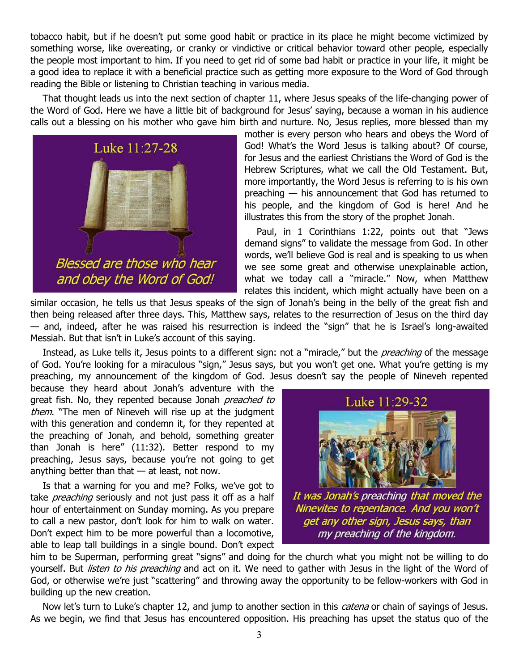tobacco habit, but if he doesn't put some good habit or practice in its place he might become victimized by something worse, like overeating, or cranky or vindictive or critical behavior toward other people, especially the people most important to him. If you need to get rid of some bad habit or practice in your life, it might be a good idea to replace it with a beneficial practice such as getting more exposure to the Word of God through reading the Bible or listening to Christian teaching in various media.

That thought leads us into the next section of chapter 11, where Jesus speaks of the life-changing power of the Word of God. Here we have a little bit of background for Jesus' saying, because a woman in his audience calls out a blessing on his mother who gave him birth and nurture. No, Jesus replies, more blessed than my



mother is every person who hears and obeys the Word of God! What's the Word Jesus is talking about? Of course, for Jesus and the earliest Christians the Word of God is the Hebrew Scriptures, what we call the Old Testament. But, more importantly, the Word Jesus is referring to is his own preaching — his announcement that God has returned to his people, and the kingdom of God is here! And he illustrates this from the story of the prophet Jonah.

Paul, in 1 Corinthians 1:22, points out that "Jews demand signs" to validate the message from God. In other words, we'll believe God is real and is speaking to us when we see some great and otherwise unexplainable action, what we today call a "miracle." Now, when Matthew relates this incident, which might actually have been on a

similar occasion, he tells us that Jesus speaks of the sign of Jonah's being in the belly of the great fish and then being released after three days. This, Matthew says, relates to the resurrection of Jesus on the third day — and, indeed, after he was raised his resurrection is indeed the "sign" that he is Israel's long-awaited Messiah. But that isn't in Luke's account of this saying.

Instead, as Luke tells it, Jesus points to a different sign: not a "miracle," but the *preaching* of the message of God. You're looking for a miraculous "sign," Jesus says, but you won't get one. What you're getting is my preaching, my announcement of the kingdom of God. Jesus doesn't say the people of Nineveh repented

because they heard about Jonah's adventure with the great fish. No, they repented because Jonah *preached to* them. "The men of Nineveh will rise up at the judgment with this generation and condemn it, for they repented at the preaching of Jonah, and behold, something greater than Jonah is here" (11:32). Better respond to my preaching, Jesus says, because you're not going to get anything better than that  $-$  at least, not now.

Is that a warning for you and me? Folks, we've got to take *preaching* seriously and not just pass it off as a half hour of entertainment on Sunday morning. As you prepare to call a new pastor, don't look for him to walk on water. Don't expect him to be more powerful than a locomotive, able to leap tall buildings in a single bound. Don't expect



It was Jonah's preaching that moved the Ninevites to repentance. And you won't get any other sign, Jesus says, than my preaching of the kingdom.

him to be Superman, performing great "signs" and doing for the church what you might not be willing to do yourself. But listen to his preaching and act on it. We need to gather with Jesus in the light of the Word of God, or otherwise we're just "scattering" and throwing away the opportunity to be fellow-workers with God in building up the new creation.

Now let's turn to Luke's chapter 12, and jump to another section in this *catena* or chain of sayings of Jesus. As we begin, we find that Jesus has encountered opposition. His preaching has upset the status quo of the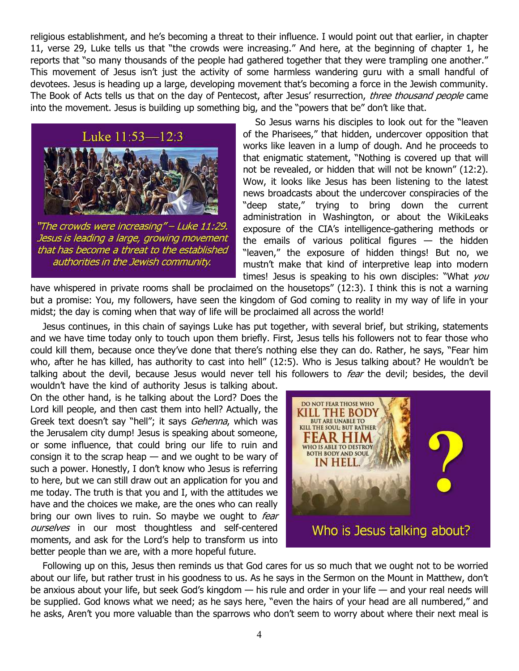religious establishment, and he's becoming a threat to their influence. I would point out that earlier, in chapter 11, verse 29, Luke tells us that "the crowds were increasing." And here, at the beginning of chapter 1, he reports that "so many thousands of the people had gathered together that they were trampling one another." This movement of Jesus isn't just the activity of some harmless wandering guru with a small handful of devotees. Jesus is heading up a large, developing movement that's becoming a force in the Jewish community. The Book of Acts tells us that on the day of Pentecost, after Jesus' resurrection, *three thousand people* came into the movement. Jesus is building up something big, and the "powers that be" don't like that.



Jesus is leading a large, growing movement that has become a threat to the established authorities in the Jewish community.

So Jesus warns his disciples to look out for the "leaven of the Pharisees," that hidden, undercover opposition that works like leaven in a lump of dough. And he proceeds to that enigmatic statement, "Nothing is covered up that will not be revealed, or hidden that will not be known" (12:2). Wow, it looks like Jesus has been listening to the latest news broadcasts about the undercover conspiracies of the "deep state," trying to bring down the current administration in Washington, or about the WikiLeaks exposure of the CIA's intelligence-gathering methods or the emails of various political figures  $-$  the hidden "leaven," the exposure of hidden things! But no, we mustn't make that kind of interpretive leap into modern times! Jesus is speaking to his own disciples: "What you

have whispered in private rooms shall be proclaimed on the housetops" (12:3). I think this is not a warning but a promise: You, my followers, have seen the kingdom of God coming to reality in my way of life in your midst; the day is coming when that way of life will be proclaimed all across the world!

Jesus continues, in this chain of sayings Luke has put together, with several brief, but striking, statements and we have time today only to touch upon them briefly. First, Jesus tells his followers not to fear those who could kill them, because once they've done that there's nothing else they can do. Rather, he says, "Fear him who, after he has killed, has authority to cast into hell" (12:5). Who is Jesus talking about? He wouldn't be talking about the devil, because Jesus would never tell his followers to fear the devil; besides, the devil

wouldn't have the kind of authority Jesus is talking about. On the other hand, is he talking about the Lord? Does the Lord kill people, and then cast them into hell? Actually, the Greek text doesn't say "hell"; it says Gehenna, which was the Jerusalem city dump! Jesus is speaking about someone, or some influence, that could bring our life to ruin and consign it to the scrap heap  $-$  and we ought to be wary of such a power. Honestly, I don't know who Jesus is referring to here, but we can still draw out an application for you and me today. The truth is that you and I, with the attitudes we have and the choices we make, are the ones who can really bring our own lives to ruin. So maybe we ought to *fear* ourselves in our most thoughtless and self-centered moments, and ask for the Lord's help to transform us into better people than we are, with a more hopeful future.



Following up on this, Jesus then reminds us that God cares for us so much that we ought not to be worried about our life, but rather trust in his goodness to us. As he says in the Sermon on the Mount in Matthew, don't be anxious about your life, but seek God's kingdom — his rule and order in your life — and your real needs will be supplied. God knows what we need; as he says here, "even the hairs of your head are all numbered," and he asks, Aren't you more valuable than the sparrows who don't seem to worry about where their next meal is